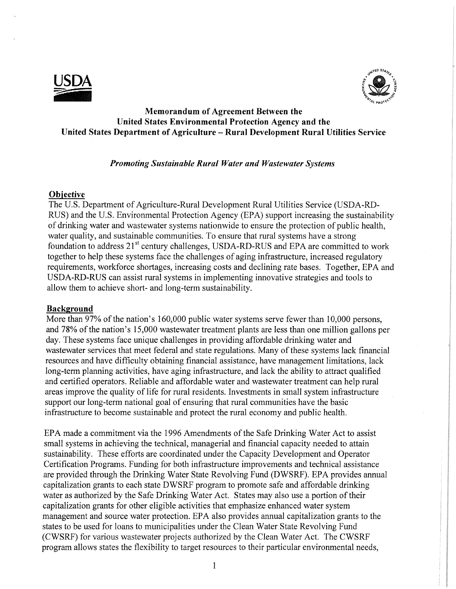



# **Memorandum of Agreement Between the United States Environmental Protection Agency and the United States Department of Agriculture - Rural Development Rural Utilities Service**

### *Promoting Sustainable Rural Water and Wastewater Systems*

#### **Objective**

The U.S. Department of Agriculture-Rural Development Rural Utilities Service (USDA-RD-RUS) and the U.S. Environmental Protection Agency (EPA) support increasing the sustainability of drinking water and wastewater systems nationwide to ensure the protection of public health, water quality, and sustainable communities. To ensure that rural systems have a strong foundation to address 21st century challenges, USDA-RD-RUS and EPA are committed to work together to help these systems face the challenges of aging infrastructure, increased regulatory requirements, workforce shortages, increasing costs and declining rate bases. Together, EPA and USDA-RD-RUS can assist rural systems in implementing innovative strategies and tools to allow them to achieve short- and long-term sustainability.

### **Background**

More than 97% of the nation's 160,000 public water systems serve fewer than 10,000 persons, and 78% of the nation's 15,000 wastewater treatment plants are less than one million gallons per day. These systems face unique challenges in providing affordable drinking water and wastewater services that meet federal and state regulations. Many of these systems lack financial resources and have difficulty obtaining financial assistance, have management limitations, lack long-term planning activities, have aging infrastructure, and lack the ability to attract qualified and certified operators. Reliable and affordable water and wastewater treatment can help rural areas improve the quality of life for rural residents. Investments in small system infrastructure support our long-term national goal of ensuring that rural communities have the basic infrastructure to become sustainable and protect the rural economy and public health.

EPA made a commitment via the 1996 Amendments of the Safe Drinking Water Act to assist small systems in achieving the technical, managerial and financial capacity needed to attain sustainability. These efforts are coordinated under the Capacity Development and Operator Certification Programs. Funding for both infrastructure improvements and technical assistance are provided through the Drinking Water State Revolving Fund (DWSRF). EPA provides annual capitalization grants to each state DWSRF program to promote safe and affordable drinking water as authorized by the Safe Drinking Water Act. States may also use a portion of their capitalization grants for other eligible activities that emphasize enhanced water system management and source water protection. EPA also provides annual capitalization grants to the states to be used for loans to municipalities under the Clean Water State Revolving Fund (CWSRF) for various wastewater projects authorized by the Clean Water Act. The CWSRF program allows states the flexibility to target resources to their particular environmental needs,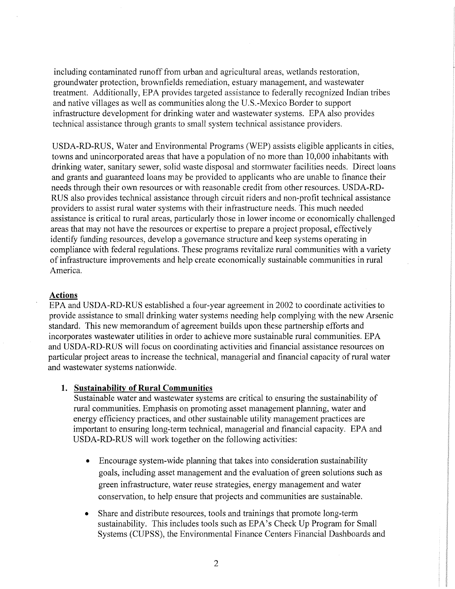including contaminated runoff from urban and agricultural areas, wetlands restoration, groundwater protection, brownfields remediation, estuary management, and wastewater treatment. Additionally, EPA provides targeted assistance to federally recognized Indian tribes and native villages as well as communities along the U.S.-Mexico Border to support infrastructure development for drinking water and wastewater systems. EPA also provides technical assistance through grants to small system technical assistance providers.

USDA-RD-RUS, Water and Environmental Programs (WEP) assists eligible applicants in cities, towns and unincorporated areas that have a population of no more than 10,000 inhabitants with drinking water, sanitary sewer, solid waste disposal and stormwater facilities needs. Direct loans and grants and guaranteed loans may be provided to applicants who are unable to finance their needs through their own resources or with reasonable credit from other resources. USDA-RD-RUS also provides technical assistance through circuit riders and non-profit technical assistance providers to assist rural water systems with their infrastructure needs. This much needed assistance is critical to rural areas, particularly those in lower income or economically challenged areas that may not have the resources or expertise to prepare a project proposal, effectively identify funding resources, develop a governance structure and keep systems operating in compliance with federal regulations. These programs revitalize rural communities with a variety of infrastructure improvements and help create economically sustainable communities in rural America.

### **Actions**

EPA and USDA-RD-RUS established a four-year agreement in 2002 to coordinate activities to provide assistance to small drinking water systems needing help complying with the new Arsenic standard. This new memorandum of agreement builds upon these partnership efforts and incorporates wastewater utilities in order to achieve more sustainable rural communities. EPA and USDA-RD-ROS will focus on coordinating activities arid financial assistance resources on particular project areas to increase the technical, managerial and financial capacity of rural water and wastewater systems nationwide.

#### **1. Sustainability of Rural Communities**

Sustainable water and wastewater systems are critical to ensuring the sustainability of rural communities. Emphasis on promoting asset management planning, water and energy efficiency practices, and other sustainable utility management practices are important to ensuring long-term technical, managerial and financial capacity. EPA and USDA-RD-RUS will work together on the following activities:

- Encourage system-wide planning that takes into consideration sustainability goals, including asset management and the evaluation of green solutions such as green infrastructure, water reuse strategies, energy management and water conservation, to help ensure that projects and communities are sustainable.
- Share and distribute resources, tools and trainings that promote long-term sustainability. This includes tools such as EPA's Check Up Program for Small Systems (CUPSS), the Environmental Finance Centers Financial Dashboards and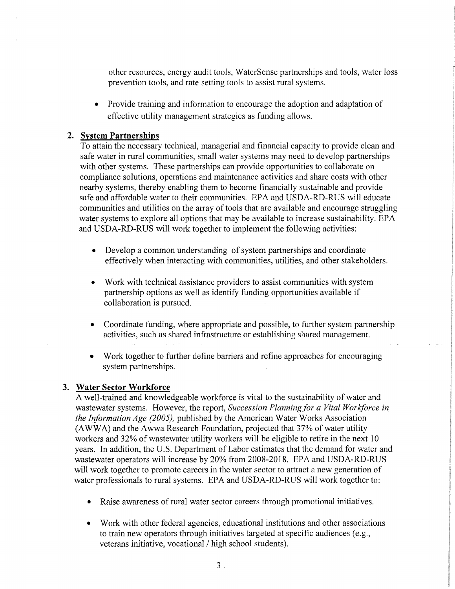other resources, energy audit tools, WaterSense partnerships and tools, water loss prevention tools, and rate setting tools to assist rural systems.

Provide training and information to encourage the adoption and adaptation of effective utility management strategies as funding allows.

# **2. System Partnerships**

To attain the necessary technical, managerial and financial capacity to provide clean and safe water in rural communities, small water systems may need to develop partnerships with other systems. These partnerships can provide opportunities to collaborate on compliance solutions, operations and maintenance activities and share costs with other nearby systems, thereby enabling them to become financially sustainable and provide safe and affordable water to their communities. EPA and USDA-RD-RUS will educate communities and utilities on the array of tools that are available and encourage struggling water systems to explore all options that may be available to increase sustainability. EPA and USDA-RD-RUS will work together to implement the following activities:

- Develop a common understanding of system partnerships and coordinate effectively when interacting with communities, utilities, and other stakeholders.
- Work with technical assistance providers to assist communities with system partnership options as well as identify funding opportunities available if collaboration is pursued.
- Coordinate funding, where appropriate and possible, to further system partnership activities, such as shared infrastructure or establishing shared management.
- Work together to further define barriers and refine approaches for encouraging system partnerships.

### **3. Water Sector Workforce**

A well-trained and knowledgeable workforce is vital to the sustainability of water and wastewater systems. However, the report, *Succession Planning for a Vital Workforce in the Information Age (2005),* published by the American Water Works Association (AWWA) and the Awwa Research Foundation, projected that 37% of water utility workers and 32% of wastewater utility workers will be eligible to retire in the next 10 years. In addition, the U.S. Department of Labor estimates that the demand for water and wastewater operators will increase by 20% from 2008-2018. EPA and USDA-RD-RUS will work together to promote careers in the water sector to attract a new generation of water professionals to rural systems. EPA and USDA-RD-RUS will work together to:

- Raise awareness of rural water sector careers through promotional initiatives.
- Work with other federal agencies, educational institutions and other associations to train new operators through initiatives targeted at specific audiences (e.g., veterans initiative, vocational / high school students).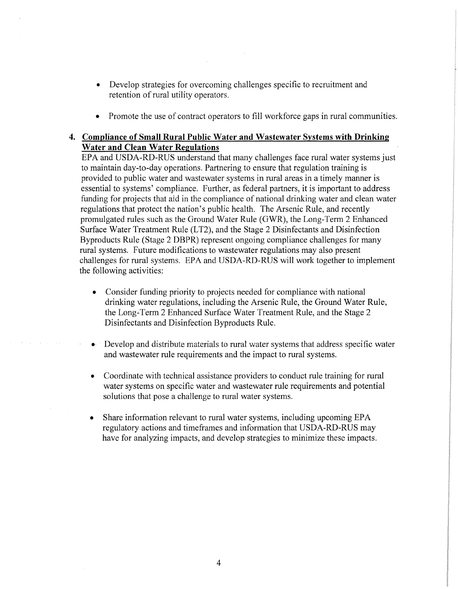- Develop strategies for overcoming challenges specific to recruitment and retention of rural utility operators.
- Promote the use of contract operators to fill workforce gaps in rural communities.

# **4. Compliance of Small Rural Public Water and Wastewater Systems with Drinking Water and Clean Water Regulations**

EPA and USDA-RD-RUS understand that many challenges face rural water systems just to maintain day-to-day operations. Partnering to ensure that regulation training is provided to public water and wastewater systems in rural areas in a timely manner is essential to systems' compliance. Further, as federal partners, it is important to address funding for projects that aid in the compliance of national drinking water and clean water regulations that protect the nation's public health. The Arsenic Rule, and recently promulgated rules such as the Ground Water Rule (GWR), the Long-Term 2 Enhanced Surface Water Treatment Rule (LT2), and the Stage 2 Disinfectants and Disinfection Byproducts Rule (Stage 2 DBPR) represent ongoing compliance challenges for many rural systems. Future modifications to wastewater regulations may also present challenges for rural systems. EPA and USDA-RD-RUS will work together to implement the following activities:

- Consider funding priority to projects needed for compliance with national drinking water regulations, including the Arsenic Rule, the Ground Water Rule, the Long-Term 2 Enhanced Surface Water Treatment Rule, and the Stage 2 Disinfectants and Disinfection Byproducts Rule.
- Develop and distribute materials to rural water systems that address specific water and wastewater rule requirements and the impact to rural systems.
- Coordinate with technical assistance providers to conduct rule training for rural water systems on specific water and wastewater rule requirements and potential solutions that pose a challenge to rural water systems.
- Share information relevant to rural water systems, including upcoming EPA regulatory actions and timeframes and information that USDA-RD-RUS may have for analyzing impacts, and develop strategies to minimize these impacts.